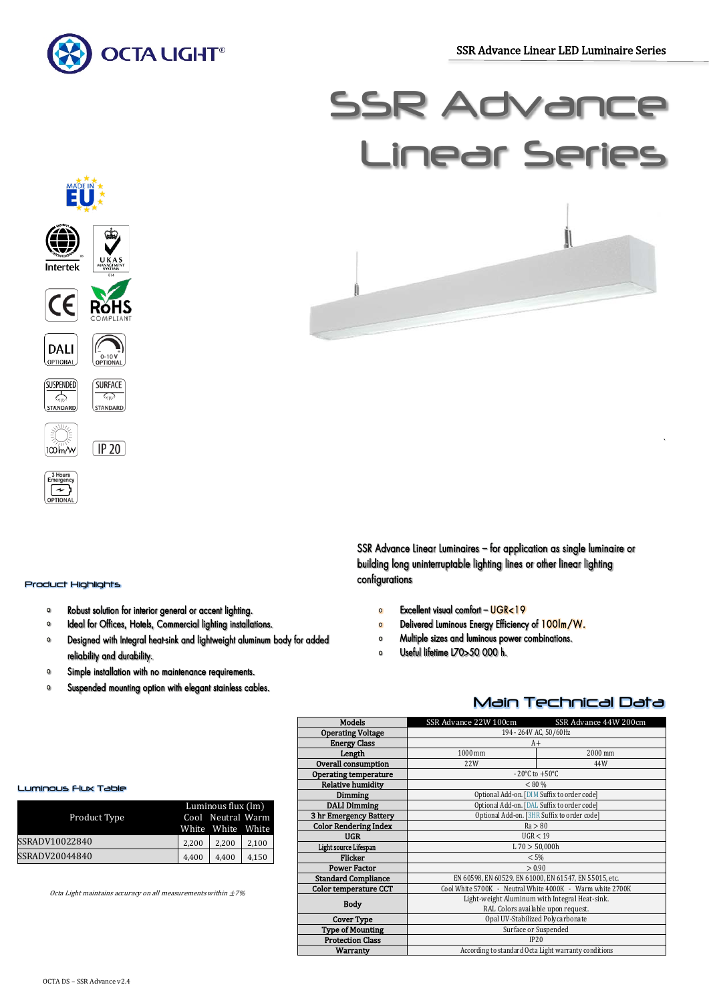j

`



# **SSR Advar** Linear Series



 $\sqrt{IP20}$ 



## Product Highlights

100 m/w

BHours<br>Emergency OPTIONA

- Robust solution for interior general or accent lighting.  $\Omega$
- Ideal for Offices, Hotels, Commercial lighting installations.  $\circ$
- $\circ$ Designed with Integral heat-sink and lightweight aluminum body for added reliability and durability.
- Simple installation with no maintenance requirements.  $\circ$
- $\circ$ Suspended mounting option with elegant stainless cables.

SSR Advance Linear Luminaires - for application as single luminaire or building long uninterruptable lighting lines or other linear lighting configurations

- Excellent visual comfort UGR<19  $\circ$
- Delivered Luminous Energy Efficiency of 100lm/W.  $\circ$
- $\mathbf{o}$ Multiple sizes and luminous power combinations.
- Useful lifetime L70>50 000 h.  $\Omega$

# Main Technical Data

| <b>Models</b>                | SSR Advance 22W 100cm                                     | SSR Advance 44W 200cm |  |  |  |  |
|------------------------------|-----------------------------------------------------------|-----------------------|--|--|--|--|
| <b>Operating Voltage</b>     | 194 - 264V AC, 50/60Hz                                    |                       |  |  |  |  |
| <b>Energy Class</b>          | $A+$                                                      |                       |  |  |  |  |
| Length                       | 1000 mm<br>2000 mm                                        |                       |  |  |  |  |
| Overall consumption          | 22W                                                       | 44W                   |  |  |  |  |
| Operating temperature        | $-20^{\circ}$ C to $+50^{\circ}$ C                        |                       |  |  |  |  |
| <b>Relative humidity</b>     | < 80 %                                                    |                       |  |  |  |  |
| Dimming                      | Optional Add-on. [DIM Suffix to order code]               |                       |  |  |  |  |
| <b>DALI Dimming</b>          | Optional Add-on. [DAL Suffix to order code]               |                       |  |  |  |  |
| 3 hr Emergency Battery       | Optional Add-on. [3HR Suffix to order code]               |                       |  |  |  |  |
| <b>Color Rendering Index</b> | Ra > 80                                                   |                       |  |  |  |  |
| <b>UGR</b>                   | UGR < 19                                                  |                       |  |  |  |  |
| Light source Lifespan        | L70 > 50,000h                                             |                       |  |  |  |  |
| Flicker                      | < 5%                                                      |                       |  |  |  |  |
| <b>Power Factor</b>          | > 0.90                                                    |                       |  |  |  |  |
| <b>Standard Compliance</b>   | EN 60598, EN 60529, EN 61000, EN 61547, EN 55015, etc.    |                       |  |  |  |  |
| Color temperature CCT        | Cool White 5700K - Neutral White 4000K - Warm white 2700K |                       |  |  |  |  |
| <b>Body</b>                  | Light-weight Aluminum with Integral Heat-sink.            |                       |  |  |  |  |
|                              | RAL Colors available upon request.                        |                       |  |  |  |  |
| <b>Cover Type</b>            | Opal UV-Stabilized Polycarbonate                          |                       |  |  |  |  |
| <b>Type of Mounting</b>      | Surface or Suspended                                      |                       |  |  |  |  |
| <b>Protection Class</b>      | IP20                                                      |                       |  |  |  |  |
| Warranty                     | According to standard Octa Light warranty conditions      |                       |  |  |  |  |

#### Luminous Flux Table

|                | Luminous flux (lm) |                   |       |  |
|----------------|--------------------|-------------------|-------|--|
| Product Type   |                    | Cool Neutral Warm |       |  |
|                |                    | White White White |       |  |
| SSRADV10022840 | 2.200              | 2.200             | 2,100 |  |
| SSRADV20044840 | 4.400              | 4.400             | 4,150 |  |

Octa Light maintains accuracy on all measurements within  $\pm 7\%$